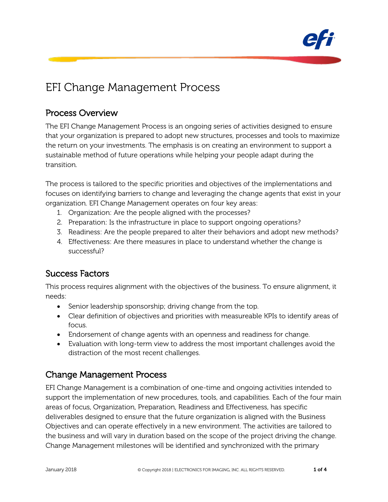

# EFI Change Management Process

## Process Overview

The EFI Change Management Process is an ongoing series of activities designed to ensure that your organization is prepared to adopt new structures, processes and tools to maximize the return on your investments. The emphasis is on creating an environment to support a sustainable method of future operations while helping your people adapt during the transition.

The process is tailored to the specific priorities and objectives of the implementations and focuses on identifying barriers to change and leveraging the change agents that exist in your organization. EFI Change Management operates on four key areas:

- 1. Organization: Are the people aligned with the processes?
- 2. Preparation: Is the infrastructure in place to support ongoing operations?
- 3. Readiness: Are the people prepared to alter their behaviors and adopt new methods?
- 4. Effectiveness: Are there measures in place to understand whether the change is successful?

## Success Factors

This process requires alignment with the objectives of the business. To ensure alignment, it needs:

- Senior leadership sponsorship; driving change from the top.
- Clear definition of objectives and priorities with measureable KPIs to identify areas of focus.
- Endorsement of change agents with an openness and readiness for change.
- Evaluation with long-term view to address the most important challenges avoid the distraction of the most recent challenges.

## Change Management Process

EFI Change Management is a combination of one-time and ongoing activities intended to support the implementation of new procedures, tools, and capabilities. Each of the four main areas of focus, Organization, Preparation, Readiness and Effectiveness, has specific deliverables designed to ensure that the future organization is aligned with the Business Objectives and can operate effectively in a new environment. The activities are tailored to the business and will vary in duration based on the scope of the project driving the change. Change Management milestones will be identified and synchronized with the primary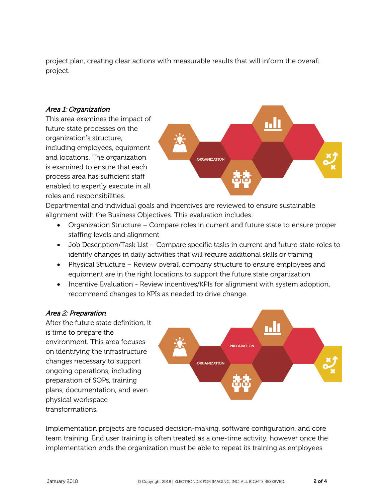project plan, creating clear actions with measurable results that will inform the overall project.

#### Area 1: Organization

This area examines the impact of future state processes on the organization's structure, including employees, equipment and locations. The organization is examined to ensure that each process area has sufficient staff enabled to expertly execute in all roles and responsibilities.



Departmental and individual goals and incentives are reviewed to ensure sustainable alignment with the Business Objectives. This evaluation includes:

- Organization Structure Compare roles in current and future state to ensure proper staffing levels and alignment
- Job Description/Task List Compare specific tasks in current and future state roles to identify changes in daily activities that will require additional skills or training
- Physical Structure Review overall company structure to ensure employees and equipment are in the right locations to support the future state organization
- Incentive Evaluation Review incentives/KPIs for alignment with system adoption, recommend changes to KPIs as needed to drive change.

#### Area 2: Preparation

After the future state definition, it is time to prepare the environment. This area focuses on identifying the infrastructure changes necessary to support ongoing operations, including preparation of SOPs, training plans, documentation, and even physical workspace transformations.



Implementation projects are focused decision-making, software configuration, and core team training. End user training is often treated as a one-time activity, however once the implementation ends the organization must be able to repeat its training as employees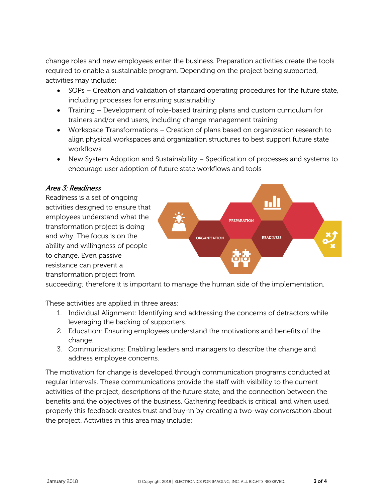change roles and new employees enter the business. Preparation activities create the tools required to enable a sustainable program. Depending on the project being supported, activities may include:

- SOPs Creation and validation of standard operating procedures for the future state, including processes for ensuring sustainability
- Training Development of role-based training plans and custom curriculum for trainers and/or end users, including change management training
- Workspace Transformations Creation of plans based on organization research to align physical workspaces and organization structures to best support future state workflows
- New System Adoption and Sustainability Specification of processes and systems to encourage user adoption of future state workflows and tools

### Area 3: Readiness

Readiness is a set of ongoing activities designed to ensure that employees understand what the transformation project is doing and why. The focus is on the ability and willingness of people to change. Even passive resistance can prevent a transformation project from



succeeding; therefore it is important to manage the human side of the implementation.

These activities are applied in three areas:

- 1. Individual Alignment: Identifying and addressing the concerns of detractors while leveraging the backing of supporters.
- 2. Education: Ensuring employees understand the motivations and benefits of the change.
- 3. Communications: Enabling leaders and managers to describe the change and address employee concerns.

The motivation for change is developed through communication programs conducted at regular intervals. These communications provide the staff with visibility to the current activities of the project, descriptions of the future state, and the connection between the benefits and the objectives of the business. Gathering feedback is critical, and when used properly this feedback creates trust and buy-in by creating a two-way conversation about the project. Activities in this area may include: